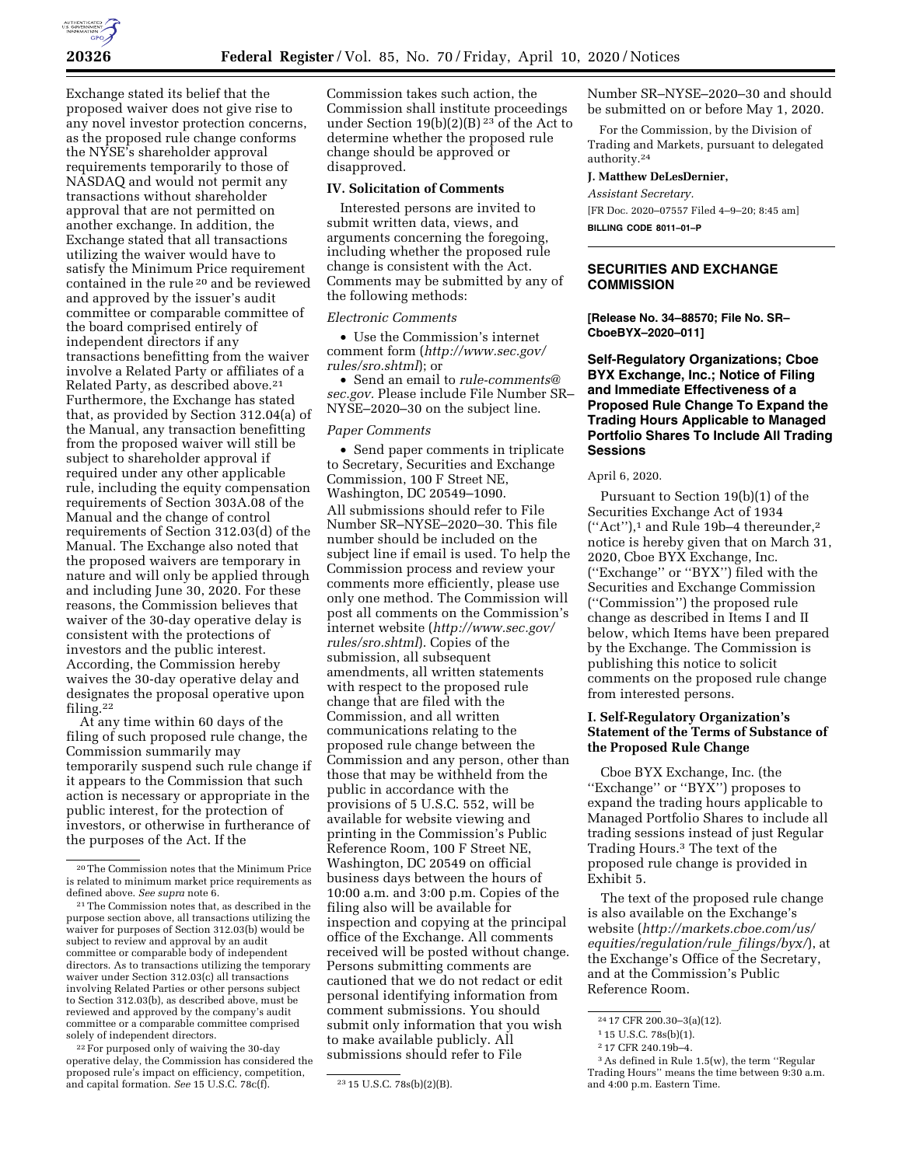

Exchange stated its belief that the proposed waiver does not give rise to any novel investor protection concerns, as the proposed rule change conforms the NYSE's shareholder approval requirements temporarily to those of NASDAQ and would not permit any transactions without shareholder approval that are not permitted on another exchange. In addition, the Exchange stated that all transactions utilizing the waiver would have to satisfy the Minimum Price requirement contained in the rule 20 and be reviewed and approved by the issuer's audit committee or comparable committee of the board comprised entirely of independent directors if any transactions benefitting from the waiver involve a Related Party or affiliates of a Related Party, as described above.<sup>21</sup> Furthermore, the Exchange has stated that, as provided by Section 312.04(a) of the Manual, any transaction benefitting from the proposed waiver will still be subject to shareholder approval if required under any other applicable rule, including the equity compensation requirements of Section 303A.08 of the Manual and the change of control requirements of Section 312.03(d) of the Manual. The Exchange also noted that the proposed waivers are temporary in nature and will only be applied through and including June 30, 2020. For these reasons, the Commission believes that waiver of the 30-day operative delay is consistent with the protections of investors and the public interest. According, the Commission hereby waives the 30-day operative delay and designates the proposal operative upon filing.22

At any time within 60 days of the filing of such proposed rule change, the Commission summarily may temporarily suspend such rule change if it appears to the Commission that such action is necessary or appropriate in the public interest, for the protection of investors, or otherwise in furtherance of the purposes of the Act. If the

22For purposed only of waiving the 30-day operative delay, the Commission has considered the proposed rule's impact on efficiency, competition, and capital formation. *See* 15 U.S.C. 78c(f). 23 15 U.S.C. 78s(b)(2)(B).

Commission takes such action, the Commission shall institute proceedings under Section 19(b)(2)(B) 23 of the Act to determine whether the proposed rule change should be approved or disapproved.

#### **IV. Solicitation of Comments**

Interested persons are invited to submit written data, views, and arguments concerning the foregoing, including whether the proposed rule change is consistent with the Act. Comments may be submitted by any of the following methods:

### *Electronic Comments*

• Use the Commission's internet comment form (*[http://www.sec.gov/](http://www.sec.gov/rules/sro.shtml)  [rules/sro.shtml](http://www.sec.gov/rules/sro.shtml)*); or

• Send an email to *[rule-comments@](mailto:rule-comments@sec.gov) [sec.gov.](mailto:rule-comments@sec.gov)* Please include File Number SR– NYSE–2020–30 on the subject line.

#### *Paper Comments*

• Send paper comments in triplicate to Secretary, Securities and Exchange Commission, 100 F Street NE, Washington, DC 20549–1090. All submissions should refer to File Number SR–NYSE–2020–30. This file number should be included on the subject line if email is used. To help the Commission process and review your comments more efficiently, please use only one method. The Commission will post all comments on the Commission's internet website (*[http://www.sec.gov/](http://www.sec.gov/rules/sro.shtml)  [rules/sro.shtml](http://www.sec.gov/rules/sro.shtml)*). Copies of the submission, all subsequent amendments, all written statements with respect to the proposed rule change that are filed with the Commission, and all written communications relating to the proposed rule change between the Commission and any person, other than those that may be withheld from the public in accordance with the provisions of 5 U.S.C. 552, will be available for website viewing and printing in the Commission's Public Reference Room, 100 F Street NE, Washington, DC 20549 on official business days between the hours of 10:00 a.m. and 3:00 p.m. Copies of the filing also will be available for inspection and copying at the principal office of the Exchange. All comments received will be posted without change. Persons submitting comments are cautioned that we do not redact or edit personal identifying information from comment submissions. You should submit only information that you wish to make available publicly. All submissions should refer to File

Number SR–NYSE–2020–30 and should be submitted on or before May 1, 2020.

For the Commission, by the Division of Trading and Markets, pursuant to delegated authority.24

# **J. Matthew DeLesDernier,**

*Assistant Secretary.* 

[FR Doc. 2020–07557 Filed 4–9–20; 8:45 am]

**BILLING CODE 8011–01–P** 

# **SECURITIES AND EXCHANGE COMMISSION**

**[Release No. 34–88570; File No. SR– CboeBYX–2020–011]** 

**Self-Regulatory Organizations; Cboe BYX Exchange, Inc.; Notice of Filing and Immediate Effectiveness of a Proposed Rule Change To Expand the Trading Hours Applicable to Managed Portfolio Shares To Include All Trading Sessions** 

#### April 6, 2020.

Pursuant to Section 19(b)(1) of the Securities Exchange Act of 1934  $("Act")$ ,<sup>1</sup> and Rule 19b-4 thereunder,<sup>2</sup> notice is hereby given that on March 31, 2020, Cboe BYX Exchange, Inc. (''Exchange'' or ''BYX'') filed with the Securities and Exchange Commission (''Commission'') the proposed rule change as described in Items I and II below, which Items have been prepared by the Exchange. The Commission is publishing this notice to solicit comments on the proposed rule change from interested persons.

# **I. Self-Regulatory Organization's Statement of the Terms of Substance of the Proposed Rule Change**

Cboe BYX Exchange, Inc. (the ''Exchange'' or ''BYX'') proposes to expand the trading hours applicable to Managed Portfolio Shares to include all trading sessions instead of just Regular Trading Hours.3 The text of the proposed rule change is provided in Exhibit 5.

The text of the proposed rule change is also available on the Exchange's website (*[http://markets.cboe.com/us/](http://markets.cboe.com/us/equities/regulation/rule_filings/byx/) [equities/regulation/rule](http://markets.cboe.com/us/equities/regulation/rule_filings/byx/)*\_*filings/byx/*), at the Exchange's Office of the Secretary, and at the Commission's Public Reference Room.

<sup>20</sup>The Commission notes that the Minimum Price is related to minimum market price requirements as defined above. *See supra* note 6.

<sup>21</sup>The Commission notes that, as described in the purpose section above, all transactions utilizing the waiver for purposes of Section 312.03(b) would be subject to review and approval by an audit committee or comparable body of independent directors. As to transactions utilizing the temporary waiver under Section 312.03(c) all transactions involving Related Parties or other persons subject to Section 312.03(b), as described above, must be reviewed and approved by the company's audit committee or a comparable committee comprised solely of independent directors.

<sup>24</sup> 17 CFR 200.30–3(a)(12).

<sup>1</sup> 15 U.S.C. 78s(b)(1).

<sup>2</sup> 17 CFR 240.19b–4.

<sup>3</sup>As defined in Rule 1.5(w), the term ''Regular Trading Hours'' means the time between 9:30 a.m. and 4:00 p.m. Eastern Time.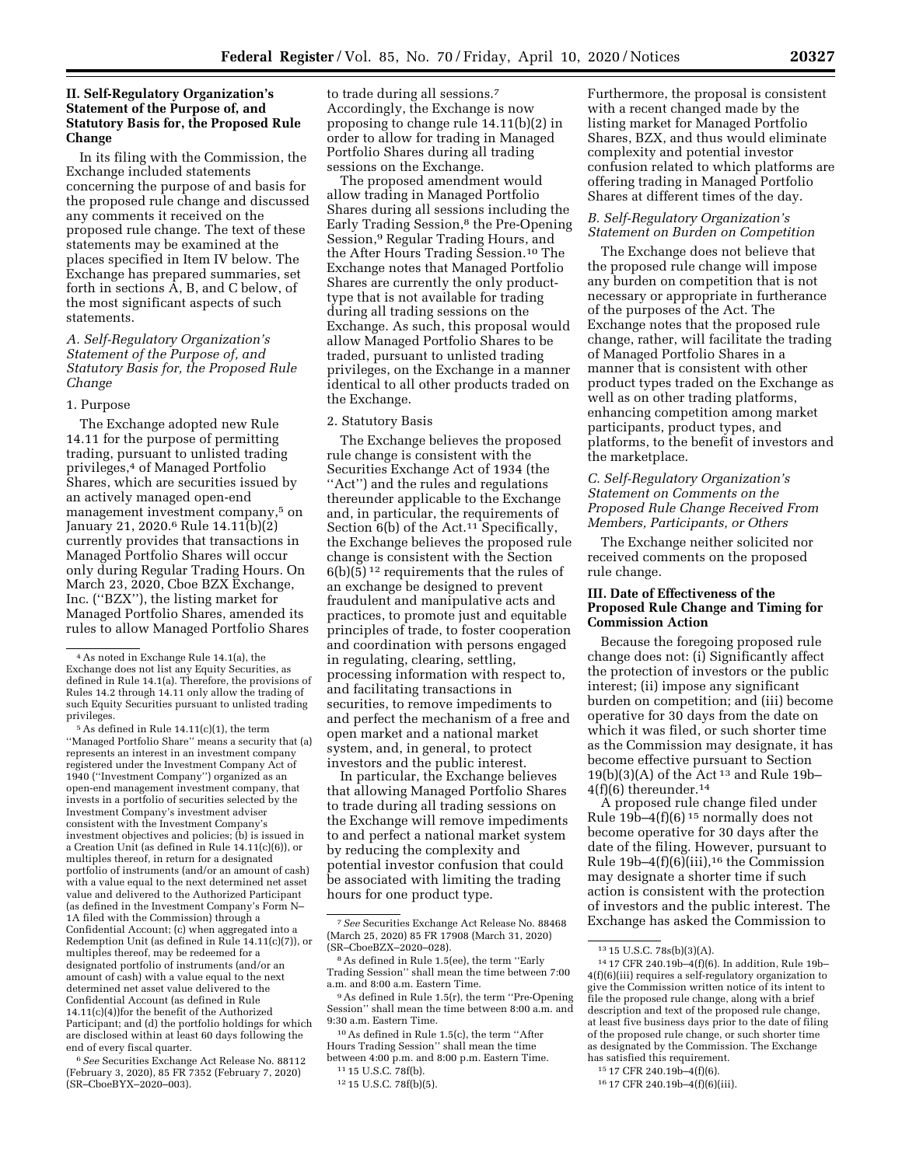# **II. Self-Regulatory Organization's Statement of the Purpose of, and Statutory Basis for, the Proposed Rule Change**

In its filing with the Commission, the Exchange included statements concerning the purpose of and basis for the proposed rule change and discussed any comments it received on the proposed rule change. The text of these statements may be examined at the places specified in Item IV below. The Exchange has prepared summaries, set forth in sections A, B, and C below, of the most significant aspects of such statements.

# *A. Self-Regulatory Organization's Statement of the Purpose of, and Statutory Basis for, the Proposed Rule Change*

#### 1. Purpose

The Exchange adopted new Rule 14.11 for the purpose of permitting trading, pursuant to unlisted trading privileges,4 of Managed Portfolio Shares, which are securities issued by an actively managed open-end management investment company,5 on January 21, 2020.6 Rule 14.11(b)(2) currently provides that transactions in Managed Portfolio Shares will occur only during Regular Trading Hours. On March 23, 2020, Cboe BZX Exchange, Inc. (''BZX''), the listing market for Managed Portfolio Shares, amended its rules to allow Managed Portfolio Shares

5As defined in Rule 14.11(c)(1), the term ''Managed Portfolio Share'' means a security that (a) represents an interest in an investment company registered under the Investment Company Act of 1940 (''Investment Company'') organized as an open-end management investment company, that invests in a portfolio of securities selected by the Investment Company's investment adviser consistent with the Investment Company's investment objectives and policies; (b) is issued in a Creation Unit (as defined in Rule 14.11(c)(6)), or multiples thereof, in return for a designated portfolio of instruments (and/or an amount of cash) with a value equal to the next determined net asset value and delivered to the Authorized Participant (as defined in the Investment Company's Form N– 1A filed with the Commission) through a Confidential Account; (c) when aggregated into a Redemption Unit (as defined in Rule 14.11(c)(7)), or multiples thereof, may be redeemed for a designated portfolio of instruments (and/or an amount of cash) with a value equal to the next determined net asset value delivered to the Confidential Account (as defined in Rule 14.11(c)(4))for the benefit of the Authorized Participant; and (d) the portfolio holdings for which are disclosed within at least 60 days following the end of every fiscal quarter.

6*See* Securities Exchange Act Release No. 88112 (February 3, 2020), 85 FR 7352 (February 7, 2020) (SR–CboeBYX–2020–003).

to trade during all sessions.7 Accordingly, the Exchange is now proposing to change rule 14.11(b)(2) in order to allow for trading in Managed Portfolio Shares during all trading sessions on the Exchange.

The proposed amendment would allow trading in Managed Portfolio Shares during all sessions including the Early Trading Session,<sup>8</sup> the Pre-Opening Session,9 Regular Trading Hours, and the After Hours Trading Session.10 The Exchange notes that Managed Portfolio Shares are currently the only producttype that is not available for trading during all trading sessions on the Exchange. As such, this proposal would allow Managed Portfolio Shares to be traded, pursuant to unlisted trading privileges, on the Exchange in a manner identical to all other products traded on the Exchange.

### 2. Statutory Basis

The Exchange believes the proposed rule change is consistent with the Securities Exchange Act of 1934 (the ''Act'') and the rules and regulations thereunder applicable to the Exchange and, in particular, the requirements of Section 6(b) of the Act.<sup>11</sup> Specifically, the Exchange believes the proposed rule change is consistent with the Section  $6(b)(5)^{12}$  requirements that the rules of an exchange be designed to prevent fraudulent and manipulative acts and practices, to promote just and equitable principles of trade, to foster cooperation and coordination with persons engaged in regulating, clearing, settling, processing information with respect to, and facilitating transactions in securities, to remove impediments to and perfect the mechanism of a free and open market and a national market system, and, in general, to protect investors and the public interest.

In particular, the Exchange believes that allowing Managed Portfolio Shares to trade during all trading sessions on the Exchange will remove impediments to and perfect a national market system by reducing the complexity and potential investor confusion that could be associated with limiting the trading hours for one product type.

10As defined in Rule 1.5(c), the term ''After Hours Trading Session'' shall mean the time between 4:00 p.m. and 8:00 p.m. Eastern Time. 11 15 U.S.C. 78f(b).

Furthermore, the proposal is consistent with a recent changed made by the listing market for Managed Portfolio Shares, BZX, and thus would eliminate complexity and potential investor confusion related to which platforms are offering trading in Managed Portfolio Shares at different times of the day.

## *B. Self-Regulatory Organization's Statement on Burden on Competition*

The Exchange does not believe that the proposed rule change will impose any burden on competition that is not necessary or appropriate in furtherance of the purposes of the Act. The Exchange notes that the proposed rule change, rather, will facilitate the trading of Managed Portfolio Shares in a manner that is consistent with other product types traded on the Exchange as well as on other trading platforms, enhancing competition among market participants, product types, and platforms, to the benefit of investors and the marketplace.

# *C. Self-Regulatory Organization's Statement on Comments on the Proposed Rule Change Received From Members, Participants, or Others*

The Exchange neither solicited nor received comments on the proposed rule change.

# **III. Date of Effectiveness of the Proposed Rule Change and Timing for Commission Action**

Because the foregoing proposed rule change does not: (i) Significantly affect the protection of investors or the public interest; (ii) impose any significant burden on competition; and (iii) become operative for 30 days from the date on which it was filed, or such shorter time as the Commission may designate, it has become effective pursuant to Section  $19(b)(3)(A)$  of the Act<sup>13</sup> and Rule 19b-4(f)(6) thereunder.14

A proposed rule change filed under Rule  $19b-4(f)(6)^{15}$  normally does not become operative for 30 days after the date of the filing. However, pursuant to Rule  $19b-4(f)(6)(iii)$ ,<sup>16</sup> the Commission may designate a shorter time if such action is consistent with the protection of investors and the public interest. The Exchange has asked the Commission to

<sup>4</sup>As noted in Exchange Rule 14.1(a), the Exchange does not list any Equity Securities, as defined in Rule 14.1(a). Therefore, the provisions of Rules 14.2 through 14.11 only allow the trading of such Equity Securities pursuant to unlisted trading privileges.

<sup>7</sup>*See* Securities Exchange Act Release No. 88468 (March 25, 2020) 85 FR 17908 (March 31, 2020) (SR–CboeBZX–2020–028).

<sup>8</sup>As defined in Rule 1.5(ee), the term ''Early Trading Session'' shall mean the time between 7:00 a.m. and 8:00 a.m. Eastern Time.

<sup>9</sup>As defined in Rule 1.5(r), the term ''Pre-Opening Session'' shall mean the time between 8:00 a.m. and 9:30 a.m. Eastern Time.

<sup>12</sup> 15 U.S.C. 78f(b)(5).

<sup>13</sup> 15 U.S.C. 78s(b)(3)(A).

<sup>14</sup> 17 CFR 240.19b–4(f)(6). In addition, Rule 19b– 4(f)(6)(iii) requires a self-regulatory organization to give the Commission written notice of its intent to file the proposed rule change, along with a brief description and text of the proposed rule change, at least five business days prior to the date of filing of the proposed rule change, or such shorter time as designated by the Commission. The Exchange has satisfied this requirement.

<sup>15</sup> 17 CFR 240.19b–4(f)(6).

<sup>16</sup> 17 CFR 240.19b–4(f)(6)(iii).